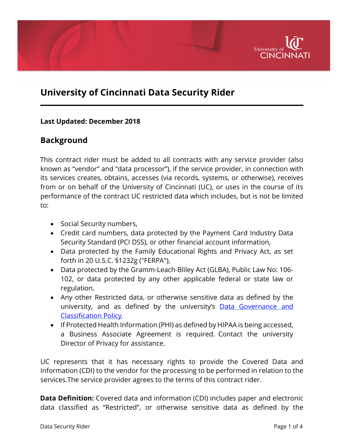

## **University of Cincinnati Data Security Rider**

## **Last Updated: December 2018**

## **Background**

This contract rider must be added to all contracts with any service provider (also known as "vendor" and "data processor"), if the service provider, in connection with its services creates, obtains, accesses (via records, systems, or otherwise), receives from or on behalf of the University of Cincinnati (UC), or uses in the course of its performance of the contract UC restricted data which includes, but is not be limited to:

- Social Security numbers,
- Credit card numbers, data protected by the Payment Card Industry Data Security Standard (PCI DSS), or other financial account information,
- Data protected by the Family Educational Rights and Privacy Act, as set forth in 20 U.S.C. §1232g ("FERPA"),
- Data protected by the Gramm-Leach-Bliley Act (GLBA), Public Law No: 106- 102, or data protected by any other applicable federal or state law or regulation.
- Any other Restricted data, or otherwise sensitive data as defined by the university, and as defined by the university's [Data Governance and](http://www.uc.edu/content/dam/uc/infosec/docs/policies/Data_Governance_and_Classification_Policy_9.1.1.pdf) [Classification Policy.](http://www.uc.edu/content/dam/uc/infosec/docs/policies/Data_Governance_and_Classification_Policy_9.1.1.pdf)
- If Protected Health Information (PHI) as defined by HIPAA is being accessed, a Business Associate Agreement is required. Contact the university Director of Privacy for assistance.

UC represents that it has necessary rights to provide the Covered Data and Information (CDI) to the vendor for the processing to be performed in relation to the services.The service provider agrees to the terms of this contract rider.

**Data Definition:** Covered data and information (CDI) includes paper and electronic data classified as "Restricted", or otherwise sensitive data as defined by the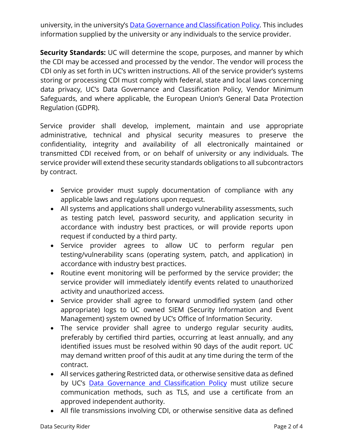university, in the university's [Data Governance and](http://www.uc.edu/content/dam/uc/infosec/docs/policies/Data_Governance_and_Classification_Policy_9.1.1.pdf) Classification Policy. This includes information supplied by the university or any individuals to the service provider.

**Security Standards:** UC will determine the scope, purposes, and manner by which the CDI may be accessed and processed by the vendor. The vendor will process the CDI only as set forth in UC's written instructions. All of the service provider's systems storing or processing CDI must comply with federal, state and local laws concerning data privacy, UC's Data Governance and Classification Policy, Vendor Minimum Safeguards, and where applicable, the European Union's General Data Protection Regulation (GDPR).

Service provider shall develop, implement, maintain and use appropriate administrative, technical and physical security measures to preserve the confidentiality, integrity and availability of all electronically maintained or transmitted CDI received from, or on behalf of university or any individuals. The service provider will extend these security standards obligations to all subcontractors by contract.

- Service provider must supply documentation of compliance with any applicable laws and regulations upon request.
- All systems and applications shall undergo vulnerability assessments, such as testing patch level, password security, and application security in accordance with industry best practices, or will provide reports upon request if conducted by a third party.
- Service provider agrees to allow UC to perform regular pen testing/vulnerability scans (operating system, patch, and application) in accordance with industry best practices.
- Routine event monitoring will be performed by the service provider; the service provider will immediately identify events related to unauthorized activity and unauthorized access.
- Service provider shall agree to forward unmodified system (and other appropriate) logs to UC owned SIEM (Security Information and Event Management) system owned by UC's Office of Information Security.
- The service provider shall agree to undergo regular security audits, preferably by certified third parties, occurring at least annually, and any identified issues must be resolved within 90 days of the audit report. UC may demand written proof of this audit at any time during the term of the contract.
- All services gathering Restricted data, or otherwise sensitive data as defined by UC's [Data Governance and](http://www.uc.edu/content/dam/uc/infosec/docs/policies/Data_Governance_and_Classification_Policy_9.1.1.pdf) Classification Policy must utilize secure communication methods, such as TLS, and use a certificate from an approved independent authority.
- All file transmissions involving CDI, or otherwise sensitive data as defined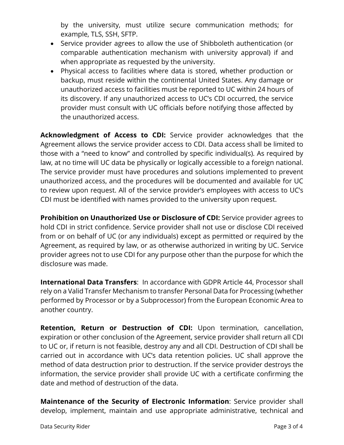by the university, must utilize secure communication methods; for example, TLS, SSH, SFTP.

- Service provider agrees to allow the use of Shibboleth authentication (or comparable authentication mechanism with university approval) if and when appropriate as requested by the university.
- Physical access to facilities where data is stored, whether production or backup, must reside within the continental United States. Any damage or unauthorized access to facilities must be reported to UC within 24 hours of its discovery. If any unauthorized access to UC's CDI occurred, the service provider must consult with UC officials before notifying those affected by the unauthorized access.

**Acknowledgment of Access to CDI:** Service provider acknowledges that the Agreement allows the service provider access to CDI. Data access shall be limited to those with a "need to know" and controlled by specific individual(s). As required by law, at no time will UC data be physically or logically accessible to a foreign national. The service provider must have procedures and solutions implemented to prevent unauthorized access, and the procedures will be documented and available for UC to review upon request. All of the service provider's employees with access to UC's CDI must be identified with names provided to the university upon request.

**Prohibition on Unauthorized Use or Disclosure of CDI:** Service provider agrees to hold CDI in strict confidence. Service provider shall not use or disclose CDI received from or on behalf of UC (or any individuals) except as permitted or required by the Agreement, as required by law, or as otherwise authorized in writing by UC. Service provider agrees not to use CDI for any purpose other than the purpose for which the disclosure was made.

**International Data Transfers**: In accordance with GDPR Article 44, Processor shall rely on a Valid Transfer Mechanism to transfer Personal Data for Processing (whether performed by Processor or by a Subprocessor) from the European Economic Area to another country.

**Retention, Return or Destruction of CDI:** Upon termination, cancellation, expiration or other conclusion of the Agreement, service provider shall return all CDI to UC or, if return is not feasible, destroy any and all CDI. Destruction of CDI shall be carried out in accordance with UC's data retention policies. UC shall approve the method of data destruction prior to destruction. If the service provider destroys the information, the service provider shall provide UC with a certificate confirming the date and method of destruction of the data.

**Maintenance of the Security of Electronic Information**: Service provider shall develop, implement, maintain and use appropriate administrative, technical and